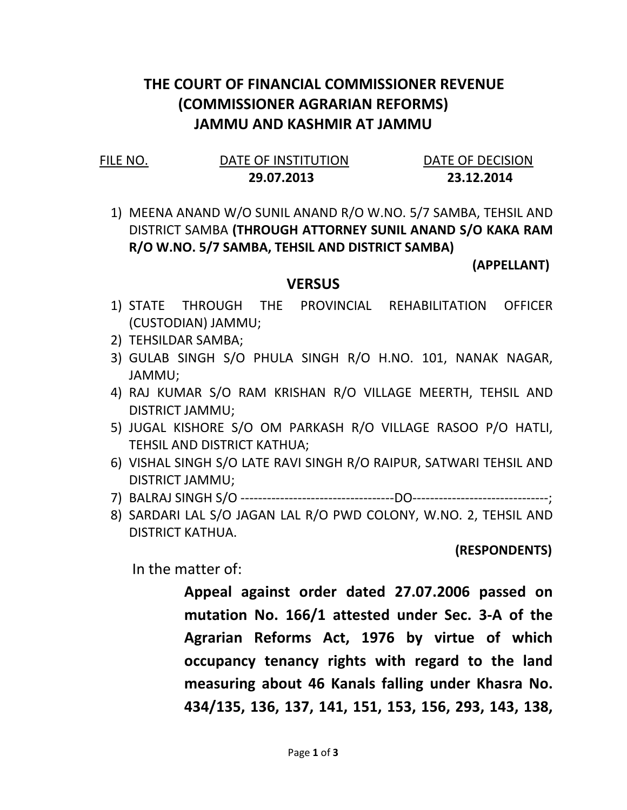## THE COURT OF FINANCIAL COMMISSIONER REVENUE (COMMISSIONER AGRARIAN REFORMS) JAMMU AND KASHMIR AT JAMMU

| FIL. | E NC |  |
|------|------|--|
|      |      |  |

### DATE OF INSTITUTION DATE OF DECISION 29.07.2013 23.12.2014

1) MEENA ANAND W/O SUNIL ANAND R/O W.NO. 5/7 SAMBA, TEHSIL AND DISTRICT SAMBA (THROUGH ATTORNEY SUNIL ANAND S/O KAKA RAM R/O W.NO. 5/7 SAMBA, TEHSIL AND DISTRICT SAMBA)

(APPELLANT)

## **VERSUS**

- 1) STATE THROUGH THE PROVINCIAL REHABILITATION OFFICER (CUSTODIAN) JAMMU;
- 2) TEHSILDAR SAMBA;
- 3) GULAB SINGH S/O PHULA SINGH R/O H.NO. 101, NANAK NAGAR, JAMMU;
- 4) RAJ KUMAR S/O RAM KRISHAN R/O VILLAGE MEERTH, TEHSIL AND DISTRICT JAMMU;
- 5) JUGAL KISHORE S/O OM PARKASH R/O VILLAGE RASOO P/O HATLI, TEHSIL AND DISTRICT KATHUA;
- 6) VISHAL SINGH S/O LATE RAVI SINGH R/O RAIPUR, SATWARI TEHSIL AND DISTRICT JAMMU;
- 7) BALRAJ SINGH S/O -----------------------------------DO-------------------------------;
- 8) SARDARI LAL S/O JAGAN LAL R/O PWD COLONY, W.NO. 2, TEHSIL AND DISTRICT KATHUA.

(RESPONDENTS)

In the matter of:

Appeal against order dated 27.07.2006 passed on mutation No. 166/1 attested under Sec. 3-A of the Agrarian Reforms Act, 1976 by virtue of which occupancy tenancy rights with regard to the land measuring about 46 Kanals falling under Khasra No. 434/135, 136, 137, 141, 151, 153, 156, 293, 143, 138,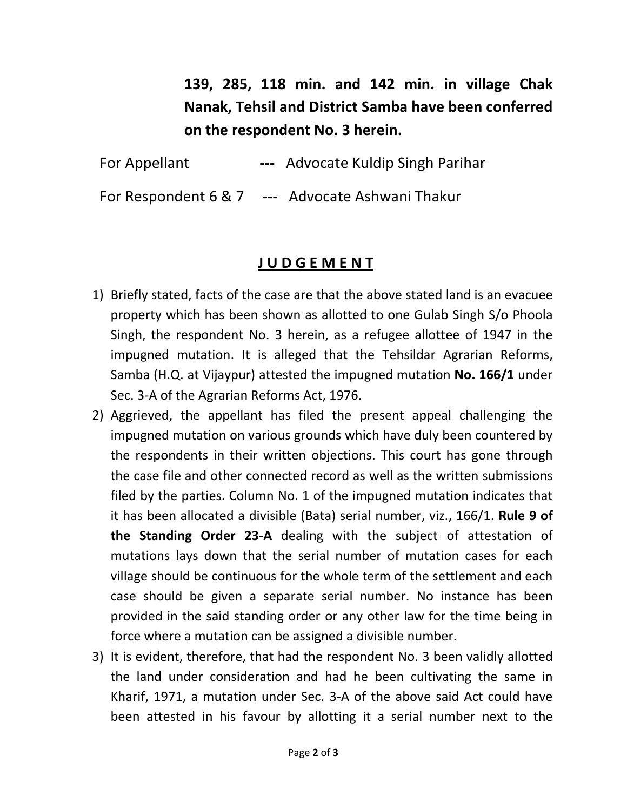139, 285, 118 min. and 142 min. in village Chak Nanak, Tehsil and District Samba have been conferred on the respondent No. 3 herein.

For Appellant --- Advocate Kuldip Singh Parihar

For Respondent 6 & 7 --- Advocate Ashwani Thakur

# J U D G E M E N T

- 1) Briefly stated, facts of the case are that the above stated land is an evacuee property which has been shown as allotted to one Gulab Singh S/o Phoola Singh, the respondent No. 3 herein, as a refugee allottee of 1947 in the impugned mutation. It is alleged that the Tehsildar Agrarian Reforms, Samba (H.Q. at Vijaypur) attested the impugned mutation No. 166/1 under Sec. 3-A of the Agrarian Reforms Act, 1976.
- 2) Aggrieved, the appellant has filed the present appeal challenging the impugned mutation on various grounds which have duly been countered by the respondents in their written objections. This court has gone through the case file and other connected record as well as the written submissions filed by the parties. Column No. 1 of the impugned mutation indicates that it has been allocated a divisible (Bata) serial number, viz., 166/1. Rule 9 of the Standing Order 23-A dealing with the subject of attestation of mutations lays down that the serial number of mutation cases for each village should be continuous for the whole term of the settlement and each case should be given a separate serial number. No instance has been provided in the said standing order or any other law for the time being in force where a mutation can be assigned a divisible number.
- 3) It is evident, therefore, that had the respondent No. 3 been validly allotted the land under consideration and had he been cultivating the same in Kharif, 1971, a mutation under Sec. 3-A of the above said Act could have been attested in his favour by allotting it a serial number next to the